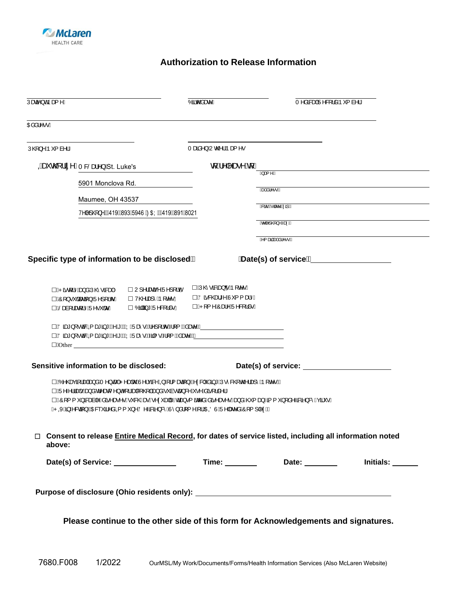

## **Authorization to Release Information**

| Úæna}dnoa∉^Á |                                                                                        |                                                                      |                                                                                                                                                                                                                                                                                                                                          | T^åææp4Ü^&[¦åÁÞ*{à^¦Á                               |                                                                                                          |
|--------------|----------------------------------------------------------------------------------------|----------------------------------------------------------------------|------------------------------------------------------------------------------------------------------------------------------------------------------------------------------------------------------------------------------------------------------------------------------------------------------------------------------------------|-----------------------------------------------------|----------------------------------------------------------------------------------------------------------|
| Œiå¦^••Á     |                                                                                        |                                                                      |                                                                                                                                                                                                                                                                                                                                          |                                                     |                                                                                                          |
| Ú@}^Áp*{à^¦Á |                                                                                        |                                                                      | Tæãn^} ĐUc@^¦Ápæ{^•                                                                                                                                                                                                                                                                                                                      |                                                     |                                                                                                          |
|              | Cheč cQ lã ^ÁT & Sat^} ÁSt. Luke's                                                     |                                                                      | q Á^ ^æ^Á{ Á                                                                                                                                                                                                                                                                                                                             |                                                     |                                                                                                          |
|              | 5901 Monclova Rd.                                                                      |                                                                      |                                                                                                                                                                                                                                                                                                                                          | Canal^••DA                                          |                                                                                                          |
|              | Maumee, OH 43537                                                                       |                                                                      |                                                                                                                                                                                                                                                                                                                                          |                                                     |                                                                                                          |
|              |                                                                                        | V^ ^]@}^KA@419DA\$93E5946B2OBYKA@419DA\$91E8021                      |                                                                                                                                                                                                                                                                                                                                          | C∾̃BÀcæe^BÁalDÁ                                     |                                                                                                          |
|              |                                                                                        |                                                                      |                                                                                                                                                                                                                                                                                                                                          | $Q^{\wedge}$  ^  $Q^{\wedge}$ }^ <del>Deg</del> /DA |                                                                                                          |
|              |                                                                                        |                                                                      |                                                                                                                                                                                                                                                                                                                                          | C⁄{æna∭waåå¦^•∙DÅ                                   |                                                                                                          |
|              | Specific type of information to be disclosed KA                                        |                                                                      |                                                                                                                                                                                                                                                                                                                                          | <b>Date(s) of servicelA</b>                         |                                                                                                          |
|              | ⊟ÁPãrd¦ l^Áne)åÁÚ@ ∙ãRaapÁ<br>□ÁÔ[ } • ˇ  œœã] } ÁÜ^] [ ¦o•Á<br>□ÄŠæà[¦æa[¦^ÄÜ^● ˇ o•Á | □ U] ^¦ææ̃(^ÂÜ^] [¦oÁ<br>⊡ ∨@⊹\æ}^ÁÞ[ c^∙ Á<br>□ Óãlã * Á J^&[ ¦å• Á | ⊟ÁÚ@•3&ãe}qÁP[c^•Á<br>□ÄÖã &@e}*^ÂĴ '{{æ}^Á<br>□ 4P [ { ^ 40ad ^ A U ^ 8I ¦ å • Á                                                                                                                                                                                                                                                        |                                                     |                                                                                                          |
|              |                                                                                        | □ÁÖãnet}[ • cã&ÁQ aetā} * ÁQ È ÈĚÁYËÜ aê • DÁ∧][¦o•Á-l[{ÁGàane^DÁ_   | □ÄÖãnet}[•œîkÁQ ætā]*ÁQÈñ⊞ÁYËÜæê•DÁã{•Á-{{ÁQãæe^D <u>ÁÁ</u><br>$\Box$ <b>A</b> Other                                                                                                                                                                                                                                                     |                                                     |                                                                                                          |
|              | Sensitive information to be disclosed:                                                 | □ÄJ^-^¦¦æ) ∳æ) åÁd^æq{^}cÁ{¦Áæp&J{@} Áæ) åÁ *à•œ}&^Á •^Áäã{¦å^¦Á     | □ÁÓ∧@eqã¦aokka)åÁT^}caokÁP^aoko@ÁU^¦çã&∧ÁQQ-{¦{aozã}kQ <p& "åãj*áú•^&@{c@^¦aa}^áp[c^•dá<br>□ÁÔ[{{`}&amp;Raà ^Áåã^æ^•Á•`&amp;@Áæ∙Á•^¢`æ  ^Ádæ}•{ã¤^åÁåã^æ•^•Áæ}åÁ@{æ}Á∄{`}[å^–&amp;Ra}&amp;`Áçã`•Á<br/>QPOXÁSIA &amp; Scali} BÁQBEYY ã^ åÁQI{Y}^ÁÖ^-3828}&amp;^ÁÚ^} å¦[{^Á, ¦ÁQEOÖÙÁÜ^ ævàÁÔ[{] ^¢DÁ</p& "åãj*áú•^&@{c@^¦aa}^áp[c^•dá<br> |                                                     |                                                                                                          |
| above:       |                                                                                        |                                                                      |                                                                                                                                                                                                                                                                                                                                          |                                                     | □ Consent to release Entire Medical Record, for dates of service listed, including all information noted |